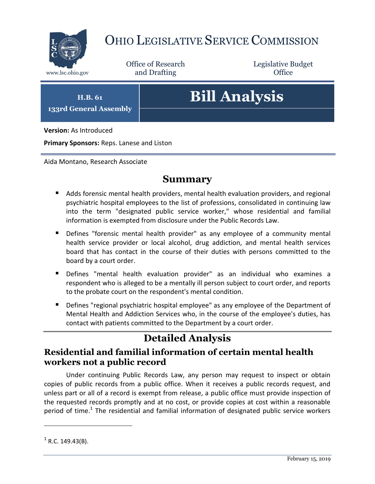

## OHIO LEGISLATIVE SERVICE COMMISSION

Office of Research www.lsc.ohio.gov and Drafting Control of Control of the Control of Control of the Control of Control of the Control of the Control of the Control of the Control of the Control of the Control of the Control of the Control o

Legislative Budget

**H.B. 61 133rd General Assembly**

# **Bill Analysis**

**Version:** As Introduced

**Primary Sponsors:** Reps. Lanese and Liston

Aida Montano, Research Associate

#### **Summary**

- Adds forensic mental health providers, mental health evaluation providers, and regional psychiatric hospital employees to the list of professions, consolidated in continuing law into the term "designated public service worker," whose residential and familial information is exempted from disclosure under the Public Records Law.
- Defines "forensic mental health provider" as any employee of a community mental health service provider or local alcohol, drug addiction, and mental health services board that has contact in the course of their duties with persons committed to the board by a court order.
- Defines "mental health evaluation provider" as an individual who examines a respondent who is alleged to be a mentally ill person subject to court order, and reports to the probate court on the respondent's mental condition.
- **Defines "regional psychiatric hospital employee" as any employee of the Department of** Mental Health and Addiction Services who, in the course of the employee's duties, has contact with patients committed to the Department by a court order.

## **Detailed Analysis**

#### **Residential and familial information of certain mental health workers not a public record**

Under continuing Public Records Law, any person may request to inspect or obtain copies of public records from a public office. When it receives a public records request, and unless part or all of a record is exempt from release, a public office must provide inspection of the requested records promptly and at no cost, or provide copies at cost within a reasonable period of time.<sup>1</sup> The residential and familial information of designated public service workers

 $\overline{a}$ 

 $<sup>1</sup>$  R.C. 149.43(B).</sup>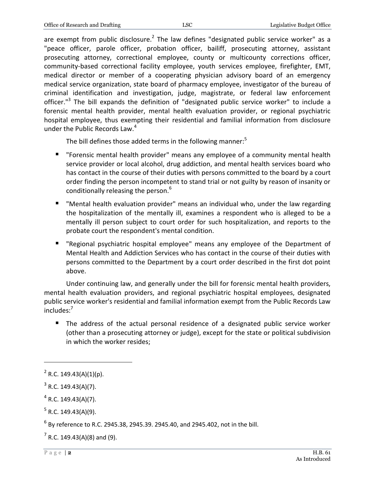are exempt from public disclosure.<sup>2</sup> The law defines "designated public service worker" as a "peace officer, parole officer, probation officer, bailiff, prosecuting attorney, assistant prosecuting attorney, correctional employee, county or multicounty corrections officer, community-based correctional facility employee, youth services employee, firefighter, EMT, medical director or member of a cooperating physician advisory board of an emergency medical service organization, state board of pharmacy employee, investigator of the bureau of criminal identification and investigation, judge, magistrate, or federal law enforcement officer."<sup>3</sup> The bill expands the definition of "designated public service worker" to include a forensic mental health provider, mental health evaluation provider, or regional psychiatric hospital employee, thus exempting their residential and familial information from disclosure under the Public Records Law.<sup>4</sup>

The bill defines those added terms in the following manner: $5$ 

- "Forensic mental health provider" means any employee of a community mental health service provider or local alcohol, drug addiction, and mental health services board who has contact in the course of their duties with persons committed to the board by a court order finding the person incompetent to stand trial or not guilty by reason of insanity or conditionally releasing the person.<sup>6</sup>
- "Mental health evaluation provider" means an individual who, under the law regarding the hospitalization of the mentally ill, examines a respondent who is alleged to be a mentally ill person subject to court order for such hospitalization, and reports to the probate court the respondent's mental condition.
- "Regional psychiatric hospital employee" means any employee of the Department of Mental Health and Addiction Services who has contact in the course of their duties with persons committed to the Department by a court order described in the first dot point above.

Under continuing law, and generally under the bill for forensic mental health providers, mental health evaluation providers, and regional psychiatric hospital employees, designated public service worker's residential and familial information exempt from the Public Records Law includes:<sup>7</sup>

 The address of the actual personal residence of a designated public service worker (other than a prosecuting attorney or judge), except for the state or political subdivision in which the worker resides;

 $\overline{a}$ 

<sup>&</sup>lt;sup>2</sup> R.C. 149.43(A)(1)(p).

 $3$  R.C. 149.43(A)(7).

 $4$  R.C. 149.43(A)(7).

 $5$  R.C. 149.43(A)(9).

 $^6$  By reference to R.C. 2945.38, 2945.39. 2945.40, and 2945.402, not in the bill.

 $7$  R.C. 149.43(A)(8) and (9).